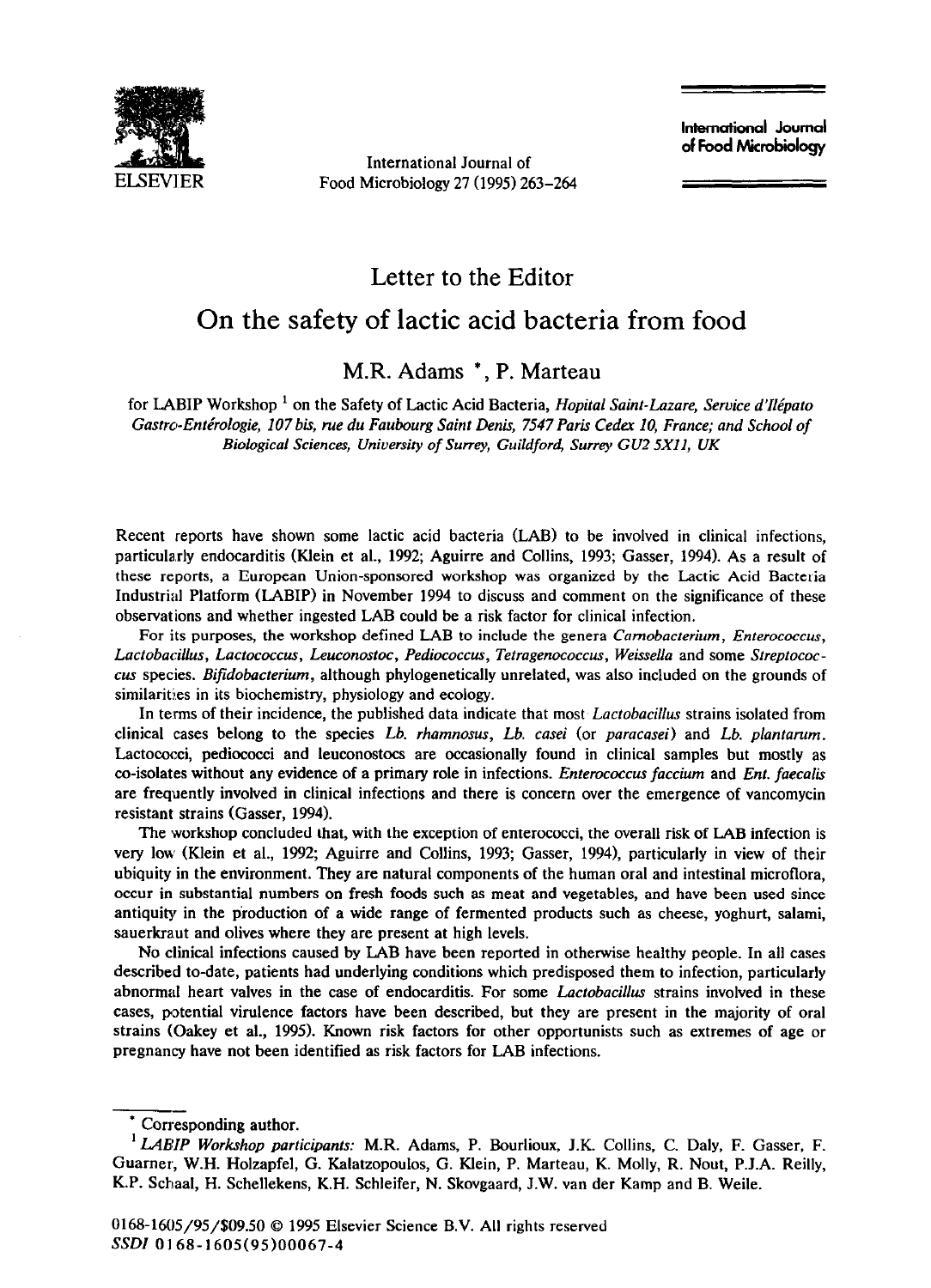

International Journal of Food Microbiology 27 (1995) 263-264 **lntemational Journal of Food Microbiology** 

## Letter to the Editor

## On the safety of lactic acid bacteria from food

## M.R. Adams \*, P. Marteau

for LABIP Workshop ' on the Safety of Lactic Acid Bacteria, *Hopital Saint-Lazare, Service d'Ilepato Castro-Enterologie, 107 his, rue du Faubourg Saint Denis, 7547 Paris Cedex IO, France; and School of Biological Sciences, University of Surrey, Guildford, Surrey GU2 5X11, UK* 

Recent reports have shown some lactic acid bacteria (LAB) to be involved in clinical infections, particularly endocarditis (Klein et al., 1992; Aguirre and Collins, 1993; Gasser, 1994). As a result of these reports, a European Union-sponsored workshop was organized by the Lactic Acid Bacteria Industrial Platform (LABIP) in November 1994 to discuss and comment on the significance of these observations and whether ingested LAB could be a risk factor for clinical infection.

For its purposes, the workshop defined LAB to include the genera *Camobacterium*, *Enterococcus*, *Lactobacillus, Lactococcus, Leuconostoc, Pediococcus, Tetragenococcus, Weissella* and some *Streptococcus* species. *Bifidobacterium,* although phylogenetically unrelated, was also included on the grounds of similarities in its biochemistry, physiology and ecology.

In terms of their incidence, the published data indicate that most *Lactobacillus* strains isolated from clinical cases belong to the species *Lb. rhamnosus, Lb. casei* (or *paracasei)* and *Lb. plantantm.*  Lactococci, pediococci and leuconostocs are occasionally found in clinical samples but mostly as co-isolates without any evidence of a primary role in infections. *Enterococcus faccium* and *Ent. faecalis*  are frequently involved in clinical infections and there is concern over the emergence of vancomycin resistant strains (Gasser, 1994).

The workshop concluded that, with the exception of enterococci, the overall risk of LAB infection is very low (Klein et al., 1992, Aguirre and Collins, 1993; Gasser, 1994), particularly in view of their ubiquity in the environment. They are natural components of the human oral and intestinal microflora, occur in substantial numbers on fresh foods such as meat and vegetables, and have been used since antiquity in the production of a wide range of fermented products such as cheese, yoghurt, salami, sauerkraut and olives where they are present at high levels.

No clinical infections caused by LAB have been reported in otherwise healthy **people.** In all cases described to-date, patients had underlying conditions which predisposed them to infection, particularly abnormal heart valves in the case of endocarditis. For some *Lactobacillus* strains involved in these cases, potential virulence factors have been described, but they are present in the majority of oral strains (Oakey et al., 1995). Known risk factors for other opportunists such as extremes of age or pregnancy have not been identified as risk factors for LAB infections.

<sup>--</sup>  Corresponding author.

<sup>&#</sup>x27; *LABIP Workshop participants:* M.R. Adams, P. Bourlioux, J.K. Collins, C. Daly, F. Gasser, F. Guamer, W.H. Holzapfel, G. Kalatzopoulos, G. Klein, P. Marteau, K. Molly, R. Nout, P.J.A. Reilly, K.P. Schaal, H. Schellekens, K.H. Schleifer, N. Skovgaard, J.W. van der Kamp and B. Weile.